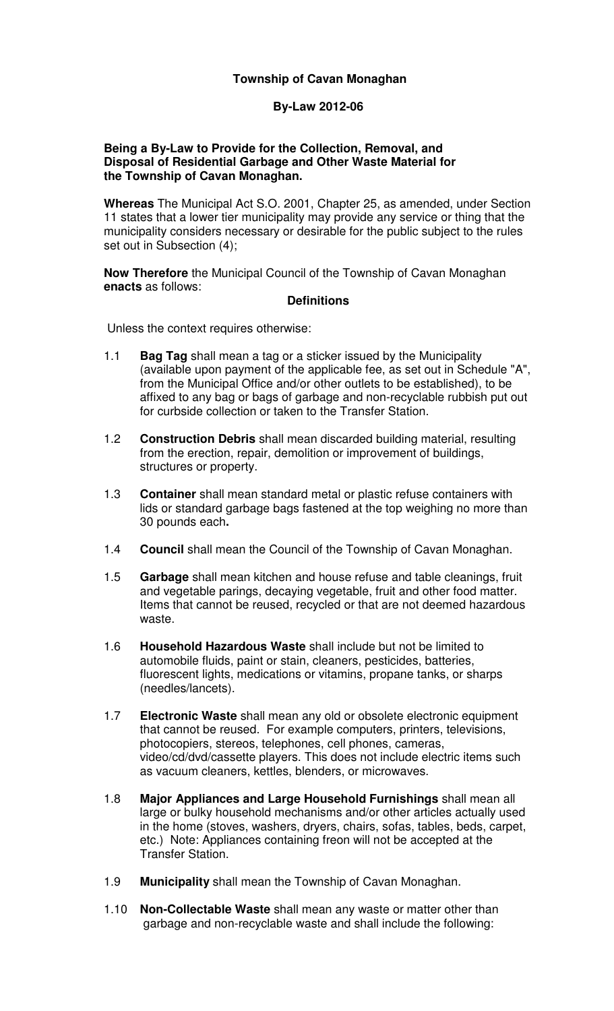### **Township of Cavan Monaghan**

### **By-Law 2012-06**

#### **Being a By-Law to Provide for the Collection, Removal, and Disposal of Residential Garbage and Other Waste Material for the Township of Cavan Monaghan.**

**Whereas** The Municipal Act S.O. 2001, Chapter 25, as amended, under Section 11 states that a lower tier municipality may provide any service or thing that the municipality considers necessary or desirable for the public subject to the rules set out in Subsection (4);

**Now Therefore** the Municipal Council of the Township of Cavan Monaghan **enacts** as follows:

#### **Definitions**

Unless the context requires otherwise:

- 1.1 **Bag Tag** shall mean a tag or a sticker issued by the Municipality (available upon payment of the applicable fee, as set out in Schedule "A", from the Municipal Office and/or other outlets to be established), to be affixed to any bag or bags of garbage and non-recyclable rubbish put out for curbside collection or taken to the Transfer Station.
- 1.2 **Construction Debris** shall mean discarded building material, resulting from the erection, repair, demolition or improvement of buildings, structures or property.
- 1.3 **Container** shall mean standard metal or plastic refuse containers with lids or standard garbage bags fastened at the top weighing no more than 30 pounds each**.**
- 1.4 **Council** shall mean the Council of the Township of Cavan Monaghan.
- 1.5 **Garbage** shall mean kitchen and house refuse and table cleanings, fruit and vegetable parings, decaying vegetable, fruit and other food matter. Items that cannot be reused, recycled or that are not deemed hazardous waste.
- 1.6 **Household Hazardous Waste** shall include but not be limited to automobile fluids, paint or stain, cleaners, pesticides, batteries, fluorescent lights, medications or vitamins, propane tanks, or sharps (needles/lancets).
- 1.7 **Electronic Waste** shall mean any old or obsolete electronic equipment that cannot be reused. For example computers, printers, televisions, photocopiers, stereos, telephones, cell phones, cameras, video/cd/dvd/cassette players. This does not include electric items such as vacuum cleaners, kettles, blenders, or microwaves.
- 1.8 **Major Appliances and Large Household Furnishings** shall mean all large or bulky household mechanisms and/or other articles actually used in the home (stoves, washers, dryers, chairs, sofas, tables, beds, carpet, etc.) Note: Appliances containing freon will not be accepted at the Transfer Station.
- 1.9 **Municipality** shall mean the Township of Cavan Monaghan.
- 1.10 **Non-Collectable Waste** shall mean any waste or matter other than garbage and non-recyclable waste and shall include the following: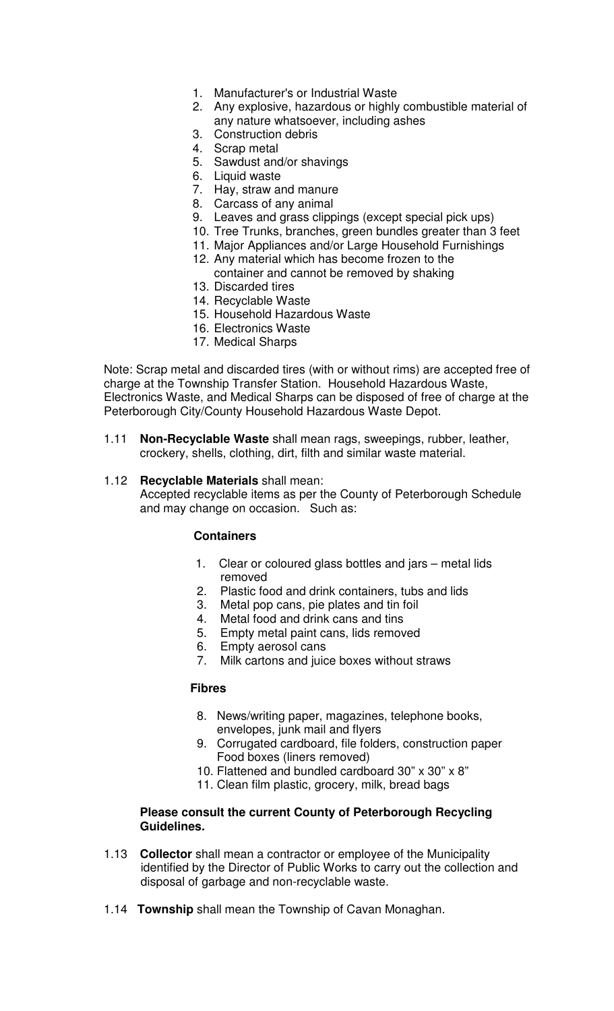- 1. Manufacturer's or Industrial Waste
- 2. Any explosive, hazardous or highly combustible material of any nature whatsoever, including ashes
- 3. Construction debris
- 4. Scrap metal
- 5. Sawdust and/or shavings
- 6. Liquid waste
- 7. Hay, straw and manure
- 8. Carcass of any animal
- 9. Leaves and grass clippings (except special pick ups)
- 10. Tree Trunks, branches, green bundles greater than 3 feet
- 11. Major Appliances and/or Large Household Furnishings
- 12. Any material which has become frozen to the
- container and cannot be removed by shaking
- 13. Discarded tires
- 14. Recyclable Waste
- 15. Household Hazardous Waste
- 16. Electronics Waste
- 17. Medical Sharps

Note: Scrap metal and discarded tires (with or without rims) are accepted free of charge at the Township Transfer Station. Household Hazardous Waste, Electronics Waste, and Medical Sharps can be disposed of free of charge at the Peterborough City/County Household Hazardous Waste Depot.

1.11 **Non-Recyclable Waste** shall mean rags, sweepings, rubber, leather, crockery, shells, clothing, dirt, filth and similar waste material.

#### 1.12 **Recyclable Materials** shall mean:

Accepted recyclable items as per the County of Peterborough Schedule and may change on occasion. Such as:

#### **Containers**

- 1. Clear or coloured glass bottles and jars metal lids removed
- 2. Plastic food and drink containers, tubs and lids
- 3. Metal pop cans, pie plates and tin foil
- 4. Metal food and drink cans and tins
- 5. Empty metal paint cans, lids removed
- 6. Empty aerosol cans
- 7. Milk cartons and juice boxes without straws

#### **Fibres**

- 8. News/writing paper, magazines, telephone books, envelopes, junk mail and flyers
- 9. Corrugated cardboard, file folders, construction paper Food boxes (liners removed)
- 10. Flattened and bundled cardboard 30" x 30" x 8"
- 11. Clean film plastic, grocery, milk, bread bags

#### **Please consult the current County of Peterborough Recycling Guidelines.**

- 1.13 **Collector** shall mean a contractor or employee of the Municipality identified by the Director of Public Works to carry out the collection and disposal of garbage and non-recyclable waste.
- 1.14 **Township** shall mean the Township of Cavan Monaghan.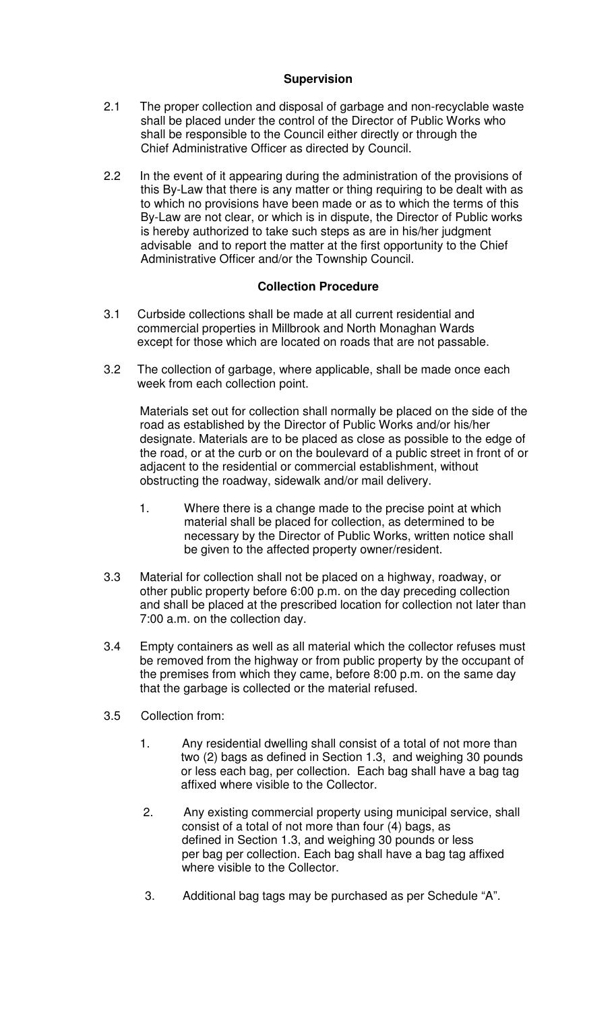## **Supervision**

- 2.1 The proper collection and disposal of garbage and non-recyclable waste shall be placed under the control of the Director of Public Works who shall be responsible to the Council either directly or through the Chief Administrative Officer as directed by Council.
- 2.2 In the event of it appearing during the administration of the provisions of this By-Law that there is any matter or thing requiring to be dealt with as to which no provisions have been made or as to which the terms of this By-Law are not clear, or which is in dispute, the Director of Public works is hereby authorized to take such steps as are in his/her judgment advisable and to report the matter at the first opportunity to the Chief Administrative Officer and/or the Township Council.

## **Collection Procedure**

- 3.1 Curbside collections shall be made at all current residential and commercial properties in Millbrook and North Monaghan Wards except for those which are located on roads that are not passable.
- 3.2 The collection of garbage, where applicable, shall be made once each week from each collection point.

Materials set out for collection shall normally be placed on the side of the road as established by the Director of Public Works and/or his/her designate. Materials are to be placed as close as possible to the edge of the road, or at the curb or on the boulevard of a public street in front of or adjacent to the residential or commercial establishment, without obstructing the roadway, sidewalk and/or mail delivery.

- 1. Where there is a change made to the precise point at which material shall be placed for collection, as determined to be necessary by the Director of Public Works, written notice shall be given to the affected property owner/resident.
- 3.3 Material for collection shall not be placed on a highway, roadway, or other public property before 6:00 p.m. on the day preceding collection and shall be placed at the prescribed location for collection not later than 7:00 a.m. on the collection day.
- 3.4 Empty containers as well as all material which the collector refuses must be removed from the highway or from public property by the occupant of the premises from which they came, before 8:00 p.m. on the same day that the garbage is collected or the material refused.
- 3.5 Collection from:
	- 1. Any residential dwelling shall consist of a total of not more than two (2) bags as defined in Section 1.3, and weighing 30 pounds or less each bag, per collection. Each bag shall have a bag tag affixed where visible to the Collector.
	- 2. Any existing commercial property using municipal service, shall consist of a total of not more than four (4) bags, as defined in Section 1.3, and weighing 30 pounds or less per bag per collection. Each bag shall have a bag tag affixed where visible to the Collector.
	- 3. Additional bag tags may be purchased as per Schedule "A".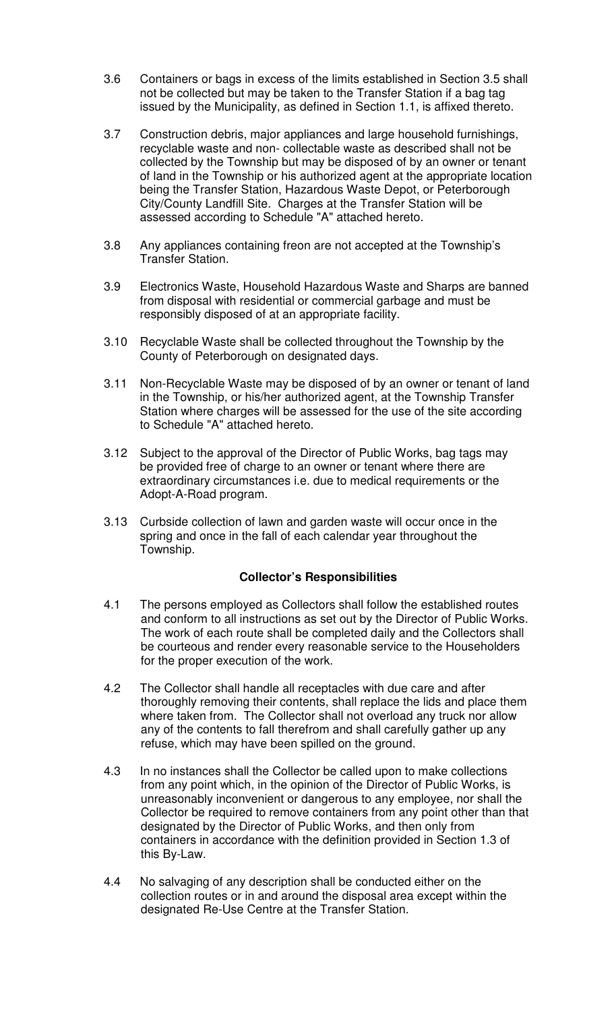- 3.6 Containers or bags in excess of the limits established in Section 3.5 shall not be collected but may be taken to the Transfer Station if a bag tag issued by the Municipality, as defined in Section 1.1, is affixed thereto.
- 3.7 Construction debris, major appliances and large household furnishings, recyclable waste and non- collectable waste as described shall not be collected by the Township but may be disposed of by an owner or tenant of land in the Township or his authorized agent at the appropriate location being the Transfer Station, Hazardous Waste Depot, or Peterborough City/County Landfill Site. Charges at the Transfer Station will be assessed according to Schedule "A" attached hereto.
- 3.8 Any appliances containing freon are not accepted at the Township's Transfer Station.
- 3.9 Electronics Waste, Household Hazardous Waste and Sharps are banned from disposal with residential or commercial garbage and must be responsibly disposed of at an appropriate facility.
- 3.10 Recyclable Waste shall be collected throughout the Township by the County of Peterborough on designated days.
- 3.11 Non-Recyclable Waste may be disposed of by an owner or tenant of land in the Township, or his/her authorized agent, at the Township Transfer Station where charges will be assessed for the use of the site according to Schedule "A" attached hereto.
- 3.12 Subject to the approval of the Director of Public Works, bag tags may be provided free of charge to an owner or tenant where there are extraordinary circumstances i.e. due to medical requirements or the Adopt-A-Road program.
- 3.13 Curbside collection of lawn and garden waste will occur once in the spring and once in the fall of each calendar year throughout the Township.

## **Collector's Responsibilities**

- 4.1 The persons employed as Collectors shall follow the established routes and conform to all instructions as set out by the Director of Public Works. The work of each route shall be completed daily and the Collectors shall be courteous and render every reasonable service to the Householders for the proper execution of the work.
- 4.2 The Collector shall handle all receptacles with due care and after thoroughly removing their contents, shall replace the lids and place them where taken from. The Collector shall not overload any truck nor allow any of the contents to fall therefrom and shall carefully gather up any refuse, which may have been spilled on the ground.
- 4.3 In no instances shall the Collector be called upon to make collections from any point which, in the opinion of the Director of Public Works, is unreasonably inconvenient or dangerous to any employee, nor shall the Collector be required to remove containers from any point other than that designated by the Director of Public Works, and then only from containers in accordance with the definition provided in Section 1.3 of this By-Law.
- 4.4 No salvaging of any description shall be conducted either on the collection routes or in and around the disposal area except within the designated Re-Use Centre at the Transfer Station.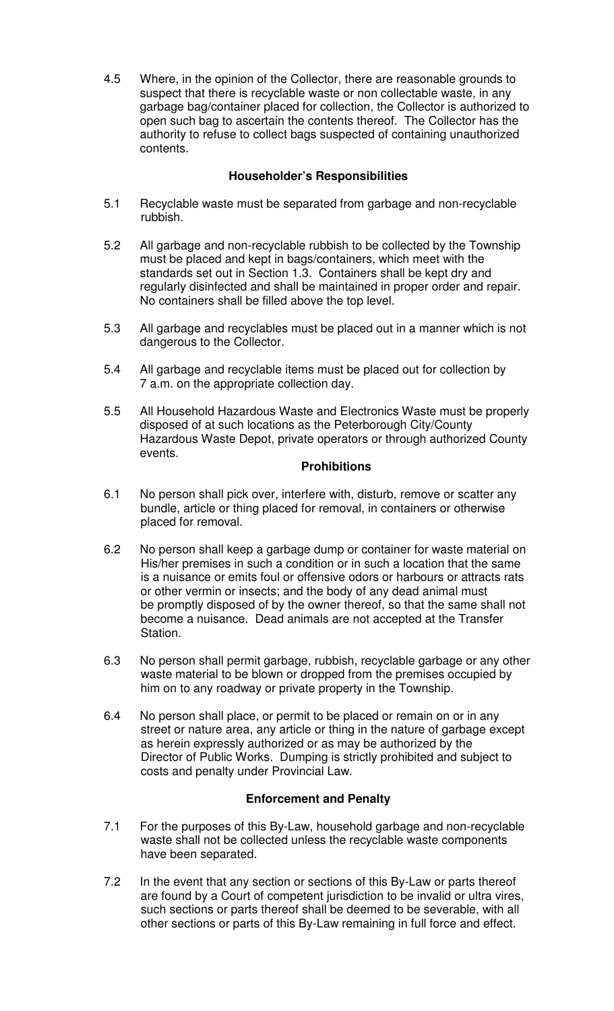4.5 Where, in the opinion of the Collector, there are reasonable grounds to suspect that there is recyclable waste or non collectable waste, in any garbage bag/container placed for collection, the Collector is authorized to open such bag to ascertain the contents thereof. The Collector has the authority to refuse to collect bags suspected of containing unauthorized contents.

# **Householder's Responsibilities**

- 5.1 Recyclable waste must be separated from garbage and non-recyclable rubbish.
- 5.2 All garbage and non-recyclable rubbish to be collected by the Township must be placed and kept in bags/containers, which meet with the standards set out in Section 1.3. Containers shall be kept dry and regularly disinfected and shall be maintained in proper order and repair. No containers shall be filled above the top level.
- 5.3 All garbage and recyclables must be placed out in a manner which is not dangerous to the Collector.
- 5.4 All garbage and recyclable items must be placed out for collection by 7 a.m. on the appropriate collection day.
- 5.5 All Household Hazardous Waste and Electronics Waste must be properly disposed of at such locations as the Peterborough City/County Hazardous Waste Depot, private operators or through authorized County events.

# **Prohibitions**

- 6.1 No person shall pick over, interfere with, disturb, remove or scatter any bundle, article or thing placed for removal, in containers or otherwise placed for removal.
- 6.2 No person shall keep a garbage dump or container for waste material on His/her premises in such a condition or in such a location that the same is a nuisance or emits foul or offensive odors or harbours or attracts rats or other vermin or insects; and the body of any dead animal must be promptly disposed of by the owner thereof, so that the same shall not become a nuisance. Dead animals are not accepted at the Transfer Station.
- 6.3 No person shall permit garbage, rubbish, recyclable garbage or any other waste material to be blown or dropped from the premises occupied by him on to any roadway or private property in the Township.
- 6.4 No person shall place, or permit to be placed or remain on or in any street or nature area, any article or thing in the nature of garbage except as herein expressly authorized or as may be authorized by the Director of Public Works. Dumping is strictly prohibited and subject to costs and penalty under Provincial Law.

## **Enforcement and Penalty**

- 7.1 For the purposes of this By-Law, household garbage and non-recyclable waste shall not be collected unless the recyclable waste components have been separated.
- 7.2 In the event that any section or sections of this By-Law or parts thereof are found by a Court of competent jurisdiction to be invalid or ultra vires, such sections or parts thereof shall be deemed to be severable, with all other sections or parts of this By-Law remaining in full force and effect.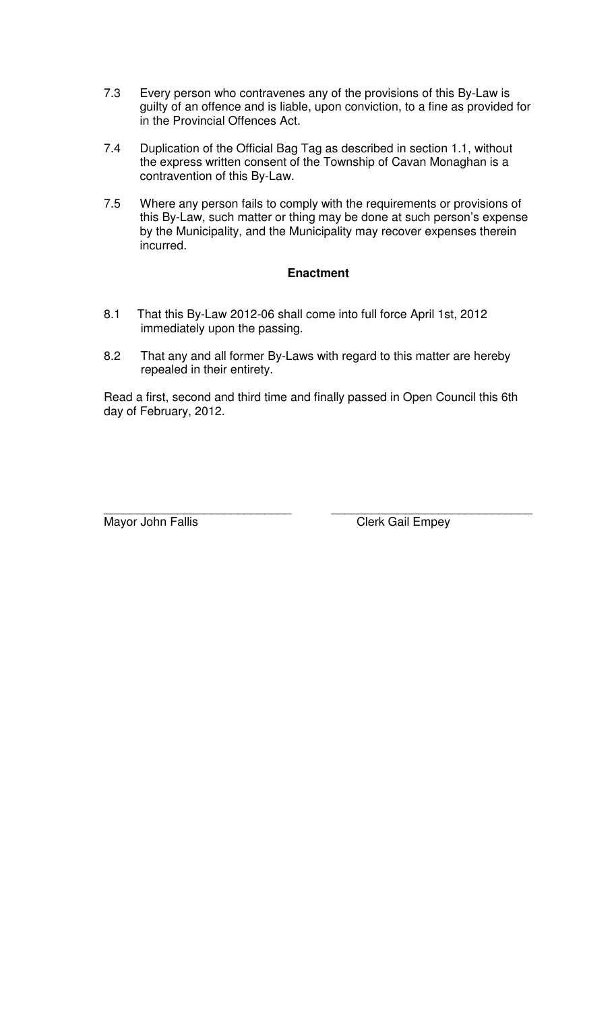- 7.3 Every person who contravenes any of the provisions of this By-Law is guilty of an offence and is liable, upon conviction, to a fine as provided for in the Provincial Offences Act.
- 7.4 Duplication of the Official Bag Tag as described in section 1.1, without the express written consent of the Township of Cavan Monaghan is a contravention of this By-Law.
- 7.5 Where any person fails to comply with the requirements or provisions of this By-Law, such matter or thing may be done at such person's expense by the Municipality, and the Municipality may recover expenses therein incurred.

## **Enactment**

- 8.1 That this By-Law 2012-06 shall come into full force April 1st, 2012 immediately upon the passing.
- 8.2 That any and all former By-Laws with regard to this matter are hereby repealed in their entirety.

Read a first, second and third time and finally passed in Open Council this 6th day of February, 2012.

Mayor John Fallis **Clerk Gail Empey** 

\_\_\_\_\_\_\_\_\_\_\_\_\_\_\_\_\_\_\_\_\_\_\_\_\_\_\_\_ \_\_\_\_\_\_\_\_\_\_\_\_\_\_\_\_\_\_\_\_\_\_\_\_\_\_\_\_\_\_